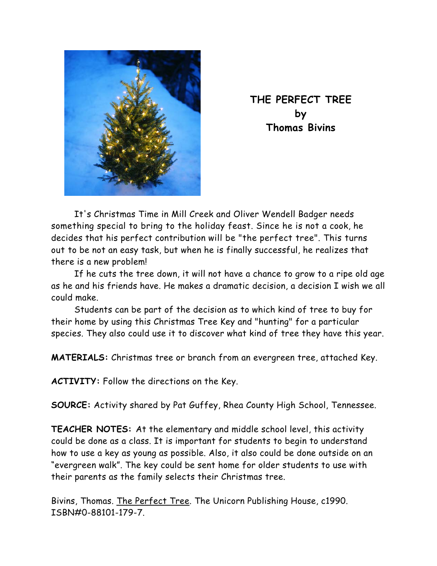

**THE PERFECT TREE by Thomas Bivins** 

It's Christmas Time in Mill Creek and Oliver Wendell Badger needs something special to bring to the holiday feast. Since he is not a cook, he decides that his perfect contribution will be "the perfect tree". This turns out to be not an easy task, but when he is finally successful, he realizes that there is a new problem!

If he cuts the tree down, it will not have a chance to grow to a ripe old age as he and his friends have. He makes a dramatic decision, a decision I wish we all could make.

Students can be part of the decision as to which kind of tree to buy for their home by using this Christmas Tree Key and "hunting" for a particular species. They also could use it to discover what kind of tree they have this year.

**MATERIALS:** Christmas tree or branch from an evergreen tree, attached Key.

**ACTIVITY:** Follow the directions on the Key.

**SOURCE:** Activity shared by Pat Guffey, Rhea County High School, Tennessee.

**TEACHER NOTES:** At the elementary and middle school level, this activity could be done as a class. It is important for students to begin to understand how to use a key as young as possible. Also, it also could be done outside on an "evergreen walk". The key could be sent home for older students to use with their parents as the family selects their Christmas tree.

Bivins, Thomas. The Perfect Tree. The Unicorn Publishing House, c1990. ISBN#0-88101-179-7.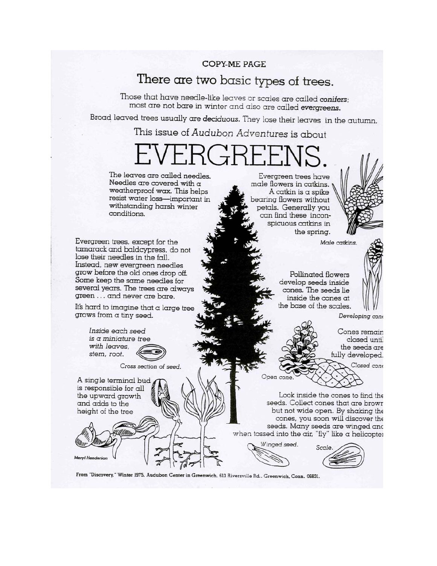**COPY-ME PAGE** 

## There are two basic types of trees.

Those that have needle-like leaves or scales are called conifers; most are not bare in winter and also are called evergreens.

Broad leaved trees usually are deciduous. They lose their leaves in the autumn.

This issue of Audubon Adventures is about

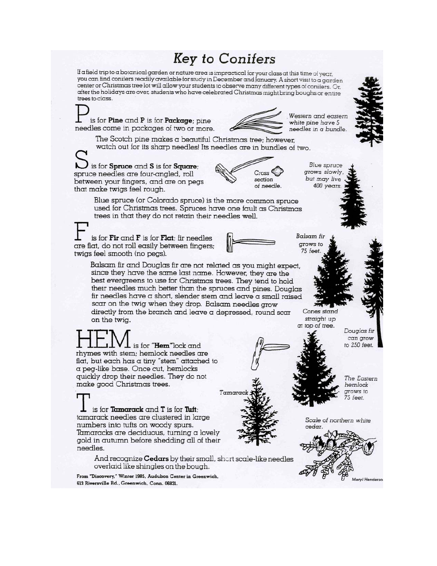## **Key to Conifers**

If a field trip to a botanical garden or nature area is impractical for your class at this time of year. you can find conifers readily available for study in December and January. A short visit to a garden center or Christmas tree lot will allow your students to observe many different types of conifers. Or, after the holidays are over, students who have celebrated Christmas might bring boughs or entire trees to class.

Western and eastern is for  $Pine$  and  $P$  is for  $Package$ ; pine white pine have 5 needles come in packages of two or more. needles in a bundle. The Scotch pine makes a beautiful Christmas tree: however. watch out for its sharp needles! Its needles are in bundles of two. is for Spruce and S is for Square; **Blue** spruce grows slowly, spruce needles are four-angled, roll but may live section between your fingers, and are on pegs of needle. 400 years that make twigs feel rough. Blue spruce (or Colorado spruce) is the more common spruce used for Christmas trees. Spruces have one fault as Christmas trees in that they do not retain their needles well. **Balsam** fir is for Fir and F is for Flat: fir needles grows to are flat, do not roll easily between fingers; 75 feet twigs feel smooth (no pegs). Balsam fir and Douglas fir are not related as you might expect, since they have the same last name. However, they are the best evergreens to use for Christmas trees. They tend to hold their needles much better than the spruces and pines. Douglas fir needles have a short, slender stem and leave a small raised scar on the twig when they drop. Balsam needles grow directly from the branch and leave a depressed, round scar Cones stand straight up on the twig. at top of tree. Douglas fir can grow is for "**Hem**"lock and to 250 feet. rhymes with stem; hemlock needles are flat, but each has a tiny "stem" attached to a peg-like base. Once cut, hemlocks quickly drop their needles. They do not The Eastern make good Christmas trees. hemlock grows to Tamaro 75 feet. is for Tamarack and T is for Tuft; tamarack needles are clustered in large Scale of northern white numbers into tufts on woody spurs. cedar. Tamaracks are deciduous, turning a lovely gold in autumn before shedding all of their needles. And recognize **Cedars** by their small, short scale-like needles overlaid like shingles on the bough.

From "Discovery," Winter 1985, Audubon Center in Greenwich, 613 Riversville Rd., Greenwich, Conn. 06831.

leryi Henderso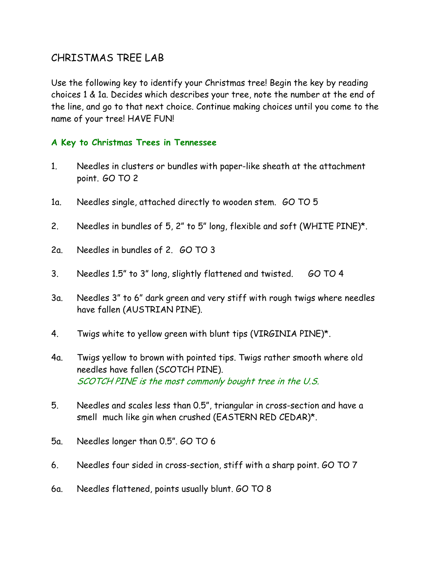## CHRISTMAS TREE LAB

Use the following key to identify your Christmas tree! Begin the key by reading choices 1 & 1a. Decides which describes your tree, note the number at the end of the line, and go to that next choice. Continue making choices until you come to the name of your tree! HAVE FUN!

## **A Key to Christmas Trees in Tennessee**

- 1. Needles in clusters or bundles with paper-like sheath at the attachment point. GO TO 2
- 1a. Needles single, attached directly to wooden stem. GO TO 5
- 2. Needles in bundles of 5, 2" to 5" long, flexible and soft (WHITE PINE)\*.
- 2a. Needles in bundles of 2. GO TO 3
- 3. Needles 1.5" to 3" long, slightly flattened and twisted. GO TO 4
- 3a. Needles 3" to 6" dark green and very stiff with rough twigs where needles have fallen (AUSTRIAN PINE).
- 4. Twigs white to yellow green with blunt tips (VIRGINIA PINE)\*.
- 4a. Twigs yellow to brown with pointed tips. Twigs rather smooth where old needles have fallen (SCOTCH PINE). SCOTCH PINE is the most commonly bought tree in the U.S.
- 5. Needles and scales less than 0.5", triangular in cross-section and have a smell much like gin when crushed (EASTERN RED CEDAR)\*.
- 5a. Needles longer than 0.5". GO TO 6
- 6. Needles four sided in cross-section, stiff with a sharp point. GO TO 7
- 6a. Needles flattened, points usually blunt. GO TO 8